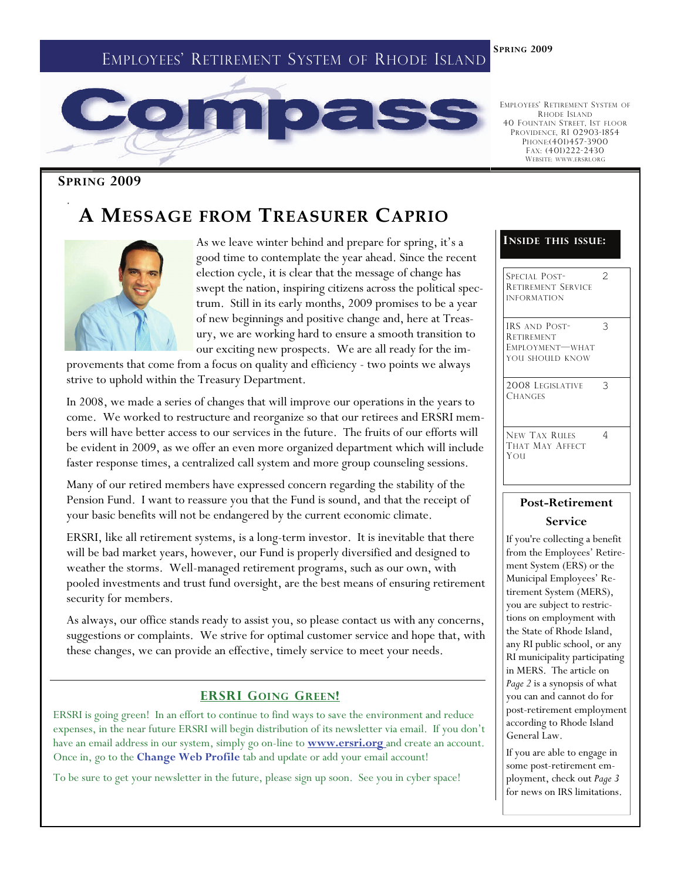## EMPLOYEES' RETIREMENT SYSTEM OF RHODE ISLAND

**SPRING 2009** 



EMPLOYEES' RETIREMENT SYSTEM OF RHODE ISLAND 40 FOUNTAIN STREET, 1ST FLOOR PROVIDENCE, RI 02903-1854 PHONE:(401)457-3900 FAX: (401)222-2430 WEBSITE: WWW.ERSRI.ORG

#### **SPRING 2009**

.

## **A MESSAGE FROM TREASURER CAPRIO**



As we leave winter behind and prepare for spring, it's a good time to contemplate the year ahead. Since the recent election cycle, it is clear that the message of change has swept the nation, inspiring citizens across the political spectrum. Still in its early months, 2009 promises to be a year of new beginnings and positive change and, here at Treasury, we are working hard to ensure a smooth transition to our exciting new prospects. We are all ready for the im-

provements that come from a focus on quality and efficiency - two points we always strive to uphold within the Treasury Department.

In 2008, we made a series of changes that will improve our operations in the years to come. We worked to restructure and reorganize so that our retirees and ERSRI members will have better access to our services in the future. The fruits of our efforts will be evident in 2009, as we offer an even more organized department which will include faster response times, a centralized call system and more group counseling sessions.

Many of our retired members have expressed concern regarding the stability of the Pension Fund. I want to reassure you that the Fund is sound, and that the receipt of your basic benefits will not be endangered by the current economic climate.

ERSRI, like all retirement systems, is a long-term investor. It is inevitable that there will be bad market years, however, our Fund is properly diversified and designed to weather the storms. Well-managed retirement programs, such as our own, with pooled investments and trust fund oversight, are the best means of ensuring retirement security for members.

As always, our office stands ready to assist you, so please contact us with any concerns, suggestions or complaints. We strive for optimal customer service and hope that, with these changes, we can provide an effective, timely service to meet your needs.

### **ERSRI GOING GREEN!**

ERSRI is going green! In an effort to continue to find ways to save the environment and reduce expenses, in the near future ERSRI will begin distribution of its newsletter via email. If you don't have an email address in our system, simply go on-line to **www.ersri.org** and create an account. Once in, go to the **Change Web Profile** tab and update or add your email account!

To be sure to get your newsletter in the future, please sign up soon. See you in cyber space!

#### **INSIDE THIS ISSUE:**

SPECIAL POST-RETIREMENT SERVICE INFORMATION 2 IRS AND POST-**RETIREMENT** EMPLOYMENT—WHAT YOU SHOULD KNOW 3 2008 LEGISLATIVE **CHANGES** 3 NEW TAX RULES THAT MAY AFFECT YOU 4

## **Post-Retirement Service**

If you're collecting a benefit from the Employees' Retirement System (ERS) or the Municipal Employees' Retirement System (MERS), you are subject to restrictions on employment with the State of Rhode Island, any RI public school, or any RI municipality participating in MERS. The article on *Page 2* is a synopsis of what you can and cannot do for post-retirement employment according to Rhode Island General Law.

If you are able to engage in some post-retirement employment, check out *Page 3*  for news on IRS limitations.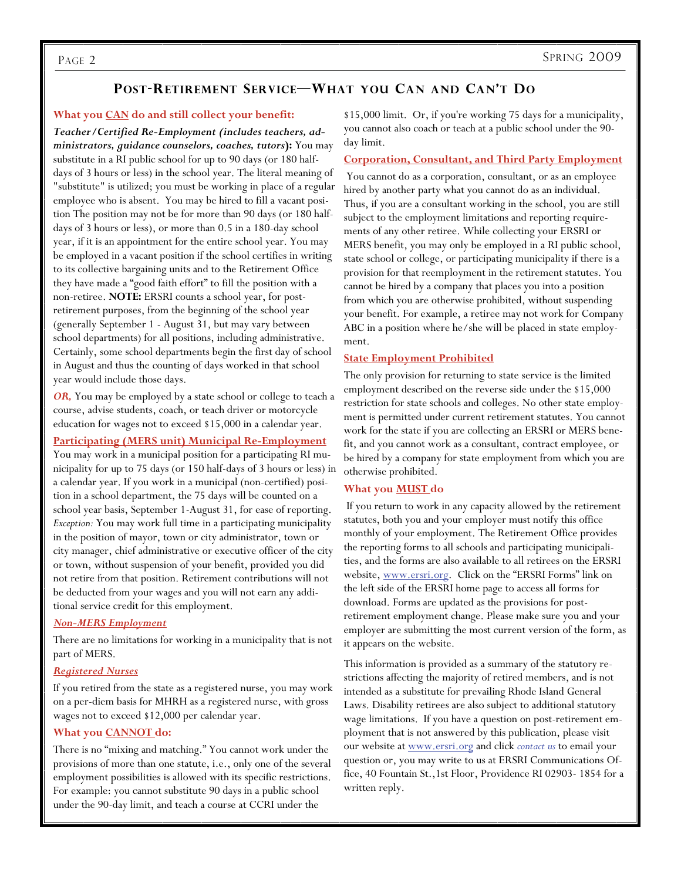## **POST-RETIREMENT SERVICE—WHAT YOU CAN AND CAN'T DO**

#### **What you CAN do and still collect your benefit:**

*Teacher/Certified Re-Employment (includes teachers, administrators, guidance counselors, coaches, tutors***):** You may substitute in a RI public school for up to 90 days (or 180 halfdays of 3 hours or less) in the school year. The literal meaning of "substitute" is utilized; you must be working in place of a regular employee who is absent. You may be hired to fill a vacant position The position may not be for more than 90 days (or 180 halfdays of 3 hours or less), or more than 0.5 in a 180-day school year, if it is an appointment for the entire school year. You may be employed in a vacant position if the school certifies in writing to its collective bargaining units and to the Retirement Office they have made a "good faith effort" to fill the position with a non-retiree. **NOTE:** ERSRI counts a school year, for postretirement purposes, from the beginning of the school year (generally September 1 - August 31, but may vary between school departments) for all positions, including administrative. Certainly, some school departments begin the first day of school in August and thus the counting of days worked in that school year would include those days.

*OR,* You may be employed by a state school or college to teach a course, advise students, coach, or teach driver or motorcycle education for wages not to exceed \$15,000 in a calendar year.

#### **Participating (MERS unit) Municipal Re-Employment**

You may work in a municipal position for a participating RI municipality for up to 75 days (or 150 half-days of 3 hours or less) in a calendar year. If you work in a municipal (non-certified) position in a school department, the 75 days will be counted on a school year basis, September 1-August 31, for ease of reporting. *Exception:* You may work full time in a participating municipality in the position of mayor, town or city administrator, town or city manager, chief administrative or executive officer of the city or town, without suspension of your benefit, provided you did not retire from that position. Retirement contributions will not be deducted from your wages and you will not earn any additional service credit for this employment.

#### *Non-MERS Employment*

There are no limitations for working in a municipality that is not part of MERS.

#### *Registered Nurses*

If you retired from the state as a registered nurse, you may work on a per-diem basis for MHRH as a registered nurse, with gross wages not to exceed \$12,000 per calendar year.

#### **What you CANNOT do:**

There is no "mixing and matching." You cannot work under the provisions of more than one statute, i.e., only one of the several employment possibilities is allowed with its specific restrictions. For example: you cannot substitute 90 days in a public school under the 90-day limit, and teach a course at CCRI under the

\$15,000 limit. Or, if you're working 75 days for a municipality, you cannot also coach or teach at a public school under the 90 day limit.

#### **Corporation, Consultant, and Third Party Employment**

 You cannot do as a corporation, consultant, or as an employee hired by another party what you cannot do as an individual. Thus, if you are a consultant working in the school, you are still subject to the employment limitations and reporting requirements of any other retiree. While collecting your ERSRI or MERS benefit, you may only be employed in a RI public school, state school or college, or participating municipality if there is a provision for that reemployment in the retirement statutes. You cannot be hired by a company that places you into a position from which you are otherwise prohibited, without suspending your benefit. For example, a retiree may not work for Company ABC in a position where he/she will be placed in state employment.

#### **State Employment Prohibited**

The only provision for returning to state service is the limited employment described on the reverse side under the \$15,000 restriction for state schools and colleges. No other state employment is permitted under current retirement statutes. You cannot work for the state if you are collecting an ERSRI or MERS benefit, and you cannot work as a consultant, contract employee, or be hired by a company for state employment from which you are otherwise prohibited.

#### **What you MUST do**

 If you return to work in any capacity allowed by the retirement statutes, both you and your employer must notify this office monthly of your employment. The Retirement Office provides the reporting forms to all schools and participating municipalities, and the forms are also available to all retirees on the ERSRI website, www.ersri.org. Click on the "ERSRI Forms" link on the left side of the ERSRI home page to access all forms for download. Forms are updated as the provisions for postretirement employment change. Please make sure you and your employer are submitting the most current version of the form, as it appears on the website.

This information is provided as a summary of the statutory restrictions affecting the majority of retired members, and is not intended as a substitute for prevailing Rhode Island General Laws. Disability retirees are also subject to additional statutory wage limitations. If you have a question on post-retirement employment that is not answered by this publication, please visit our website at www.ersri.org and click *contact us* to email your question or, you may write to us at ERSRI Communications Office, 40 Fountain St.,1st Floor, Providence RI 02903- 1854 for a written reply.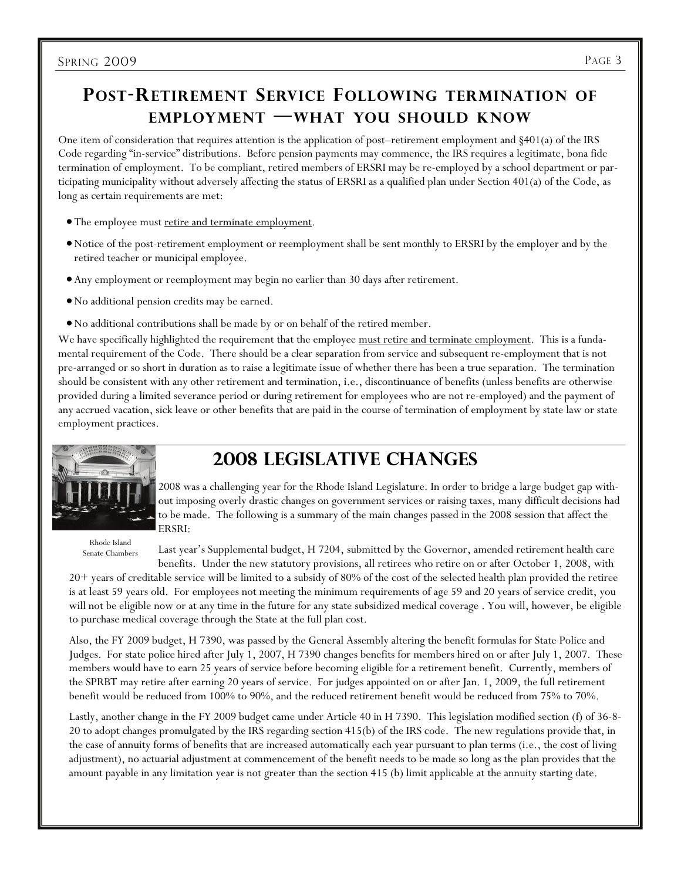## **POST-RETIREMENT SERVICE FOLLOWING TERMINATION OF EMPLOYMENT —WHAT YOU SHOULD KNOW**

One item of consideration that requires attention is the application of post–retirement employment and §401(a) of the IRS Code regarding "in-service" distributions. Before pension payments may commence, the IRS requires a legitimate, bona fide termination of employment. To be compliant, retired members of ERSRI may be re-employed by a school department or participating municipality without adversely affecting the status of ERSRI as a qualified plan under Section 401(a) of the Code, as long as certain requirements are met:

- The employee must retire and terminate employment.
- Notice of the post-retirement employment or reemployment shall be sent monthly to ERSRI by the employer and by the retired teacher or municipal employee.
- Any employment or reemployment may begin no earlier than 30 days after retirement.
- No additional pension credits may be earned.
- No additional contributions shall be made by or on behalf of the retired member.

We have specifically highlighted the requirement that the employee must retire and terminate employment. This is a fundamental requirement of the Code. There should be a clear separation from service and subsequent re-employment that is not pre-arranged or so short in duration as to raise a legitimate issue of whether there has been a true separation. The termination should be consistent with any other retirement and termination, i.e., discontinuance of benefits (unless benefits are otherwise provided during a limited severance period or during retirement for employees who are not re-employed) and the payment of any accrued vacation, sick leave or other benefits that are paid in the course of termination of employment by state law or state employment practices.



Rhode Island Senate Chambers

# **2008 Legislative Changes**

2008 was a challenging year for the Rhode Island Legislature. In order to bridge a large budget gap without imposing overly drastic changes on government services or raising taxes, many difficult decisions had to be made. The following is a summary of the main changes passed in the 2008 session that affect the ERSRI:

Last year's Supplemental budget, H 7204, submitted by the Governor, amended retirement health care benefits. Under the new statutory provisions, all retirees who retire on or after October 1, 2008, with

20+ years of creditable service will be limited to a subsidy of 80% of the cost of the selected health plan provided the retiree is at least 59 years old. For employees not meeting the minimum requirements of age 59 and 20 years of service credit, you will not be eligible now or at any time in the future for any state subsidized medical coverage . You will, however, be eligible to purchase medical coverage through the State at the full plan cost.

Also, the FY 2009 budget, H 7390, was passed by the General Assembly altering the benefit formulas for State Police and Judges. For state police hired after July 1, 2007, H 7390 changes benefits for members hired on or after July 1, 2007. These members would have to earn 25 years of service before becoming eligible for a retirement benefit. Currently, members of the SPRBT may retire after earning 20 years of service. For judges appointed on or after Jan. 1, 2009, the full retirement benefit would be reduced from 100% to 90%, and the reduced retirement benefit would be reduced from 75% to 70%.

Lastly, another change in the FY 2009 budget came under Article 40 in H 7390. This legislation modified section (f) of 36-8- 20 to adopt changes promulgated by the IRS regarding section 415(b) of the IRS code. The new regulations provide that, in the case of annuity forms of benefits that are increased automatically each year pursuant to plan terms (i.e., the cost of living adjustment), no actuarial adjustment at commencement of the benefit needs to be made so long as the plan provides that the amount payable in any limitation year is not greater than the section 415 (b) limit applicable at the annuity starting date.